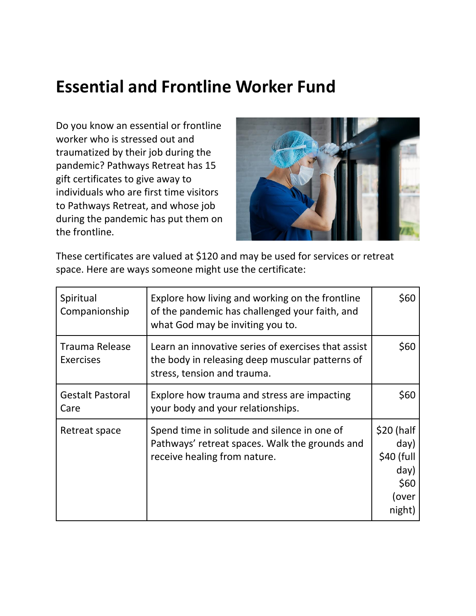# **Essential and Frontline Worker Fund**

Do you know an essential or frontline worker who is stressed out and traumatized by their job during the pandemic? Pathways Retreat has 15 gift certificates to give away to individuals who are first time visitors to Pathways Retreat, and whose job during the pandemic has put them on the frontline.



These certificates are valued at \$120 and may be used for services or retreat space. Here are ways someone might use the certificate:

| Spiritual<br>Companionship                | Explore how living and working on the frontline<br>of the pandemic has challenged your faith, and<br>what God may be inviting you to. | \$60                                                                |
|-------------------------------------------|---------------------------------------------------------------------------------------------------------------------------------------|---------------------------------------------------------------------|
| <b>Trauma Release</b><br><b>Exercises</b> | Learn an innovative series of exercises that assist<br>the body in releasing deep muscular patterns of<br>stress, tension and trauma. | \$60                                                                |
| <b>Gestalt Pastoral</b><br>Care           | Explore how trauma and stress are impacting<br>your body and your relationships.                                                      | \$60                                                                |
| Retreat space                             | Spend time in solitude and silence in one of<br>Pathways' retreat spaces. Walk the grounds and<br>receive healing from nature.        | \$20 (half<br>day)<br>\$40 (full<br>day)<br>\$60<br>over)<br>night) |